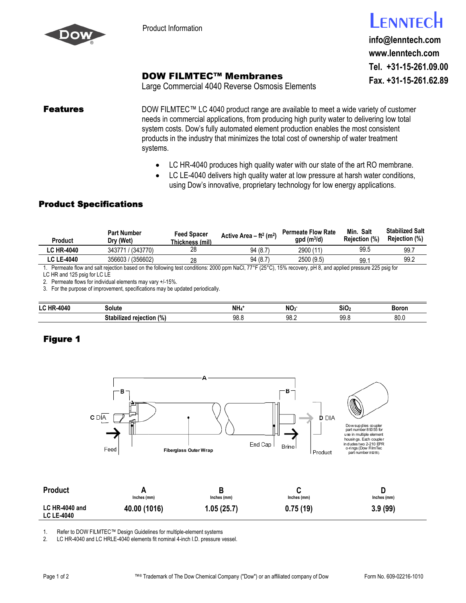

## ENNTECH

**info@lenntech.com www.lenntech.com Tel. +31-15-261.09.00 Fax. +31-15-261.62.89**

## DOW FILMTEC™ Membranes

Large Commercial 4040 Reverse Osmosis Elements

**Features** DOW FILMTEC™ LC 4040 product range are available to meet a wide variety of customer needs in commercial applications, from producing high purity water to delivering low total system costs. Dow's fully automated element production enables the most consistent products in the industry that minimizes the total cost of ownership of water treatment systems.

- LC HR-4040 produces high quality water with our state of the art RO membrane.
- LC LE-4040 delivers high quality water at low pressure at harsh water conditions, using Dow's innovative, proprietary technology for low energy applications.

## Product Specifications

| Product           | <b>Part Number</b><br>Dry (Wet)                                                                                                                          | Feed Spacer<br>Thickness (mil) | Active Area $-$ ft <sup>2</sup> (m <sup>2</sup> ) | <b>Permeate Flow Rate</b><br>$qpd$ (m <sup>3</sup> /d) | Min. Salt<br>Rejection (%) | <b>Stabilized Salt</b><br><b>Rejection</b> (%) |
|-------------------|----------------------------------------------------------------------------------------------------------------------------------------------------------|--------------------------------|---------------------------------------------------|--------------------------------------------------------|----------------------------|------------------------------------------------|
| <b>LC HR-4040</b> | 343771 / (343770)                                                                                                                                        | 28                             | 94 (8.7)                                          | 2900 (11)                                              | 99.5                       | 99.7                                           |
| <b>LC LE-4040</b> | 356603 / (356602)                                                                                                                                        | 28                             | 94 (8.7)                                          | 2500(9.5)                                              | 99.                        | 99.2                                           |
|                   | Bermeste flow and selt rejection based on the following test conditions: 2000 npm NoCL 77°E (25°C), 15% receiver nH 8, and applied prossure 225 psig for |                                |                                                   |                                                        |                            |                                                |

on based on the following test conditions: 2000 ppm NaCl, 77°F (25°C), 15% recovery, pH 8, and applied pressure 225 psig for LC HR and 125 psig for LC LE

2. Permeate flows for individual elements may vary +/-15%.

3. For the purpose of improvement, specifications may be updated periodically.

| LC HP<br>4040 | Solute                          | NH <sub>4</sub> | <b>NC</b><br>יי | SiO.                   | Boror              |
|---------------|---------------------------------|-----------------|-----------------|------------------------|--------------------|
|               | <br>relection<br>$\frac{10}{2}$ | 98.8            | ۵R<br>JU.L      | 0 <sub>°</sub><br>JJ.U | $^{\circ}$<br>ov.v |

## Figure 1



1. Refer to DOW FILMTEC™ Design Guidelines for multiple-element systems<br>2. LC HR-4040 and LC HRLE-4040 elements fit nominal 4-inch I.D. pressure v

LC HR-4040 and LC HRLE-4040 elements fit nominal 4-inch I.D. pressure vessel.